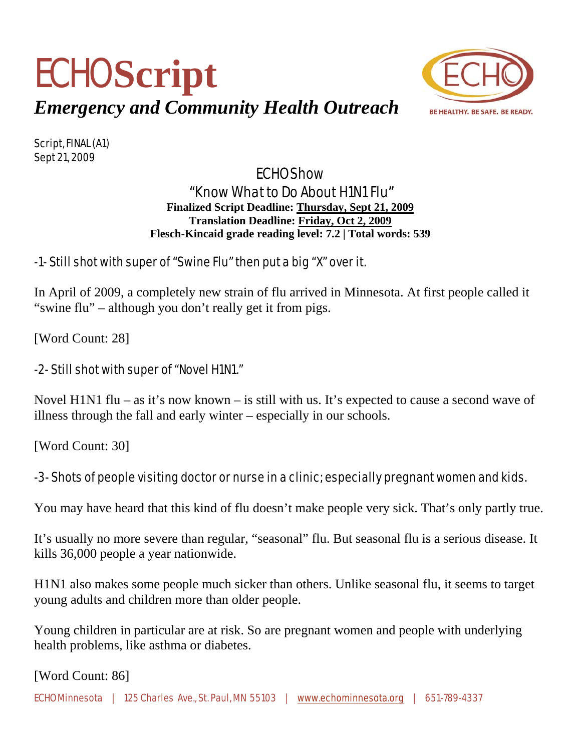



Script, FINAL (A1) Sept 21, 2009

# ECHO Show "Know What to Do About H1N1 Flu" **Finalized Script Deadline: Thursday, Sept 21, 2009**

**Translation Deadline: Friday, Oct 2, 2009 Flesch-Kincaid grade reading level: 7.2 | Total words: 539** 

## -1- Still shot with super of "Swine Flu" then put a big "X" over it.

In April of 2009, a completely new strain of flu arrived in Minnesota. At first people called it "swine flu" – although you don't really get it from pigs.

[Word Count: 28]

### -2- Still shot with super of "Novel H1N1."

Novel H1N1 flu – as it's now known – is still with us. It's expected to cause a second wave of illness through the fall and early winter – especially in our schools.

[Word Count: 30]

# -3- Shots of people visiting doctor or nurse in a clinic; especially pregnant women and kids.

You may have heard that this kind of flu doesn't make people very sick. That's only partly true.

It's usually no more severe than regular, "seasonal" flu. But seasonal flu is a serious disease. It kills 36,000 people a year nationwide.

H1N1 also makes some people much sicker than others. Unlike seasonal flu, it seems to target young adults and children more than older people.

Young children in particular are at risk. So are pregnant women and people with underlying health problems, like asthma or diabetes.

[Word Count: 86]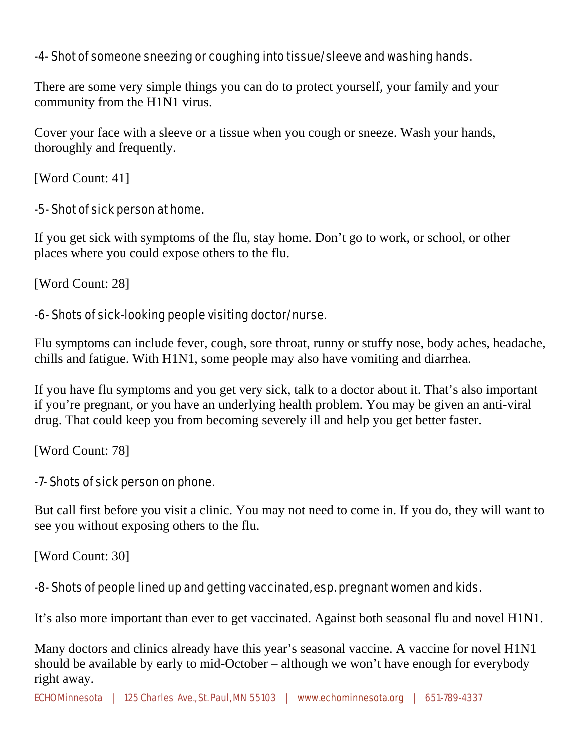### -4- Shot of someone sneezing or coughing into tissue/sleeve and washing hands.

There are some very simple things you can do to protect yourself, your family and your community from the H1N1 virus.

Cover your face with a sleeve or a tissue when you cough or sneeze. Wash your hands, thoroughly and frequently.

[Word Count: 41]

#### -5- Shot of sick person at home.

If you get sick with symptoms of the flu, stay home. Don't go to work, or school, or other places where you could expose others to the flu.

[Word Count: 28]

#### -6- Shots of sick-looking people visiting doctor/nurse.

Flu symptoms can include fever, cough, sore throat, runny or stuffy nose, body aches, headache, chills and fatigue. With H1N1, some people may also have vomiting and diarrhea.

If you have flu symptoms and you get very sick, talk to a doctor about it. That's also important if you're pregnant, or you have an underlying health problem. You may be given an anti-viral drug. That could keep you from becoming severely ill and help you get better faster.

[Word Count: 78]

#### -7- Shots of sick person on phone.

But call first before you visit a clinic. You may not need to come in. If you do, they will want to see you without exposing others to the flu.

[Word Count: 30]

#### -8- Shots of people lined up and getting vaccinated, esp. pregnant women and kids.

It's also more important than ever to get vaccinated. Against both seasonal flu and novel H1N1.

Many doctors and clinics already have this year's seasonal vaccine. A vaccine for novel H1N1 should be available by early to mid-October – although we won't have enough for everybody right away.